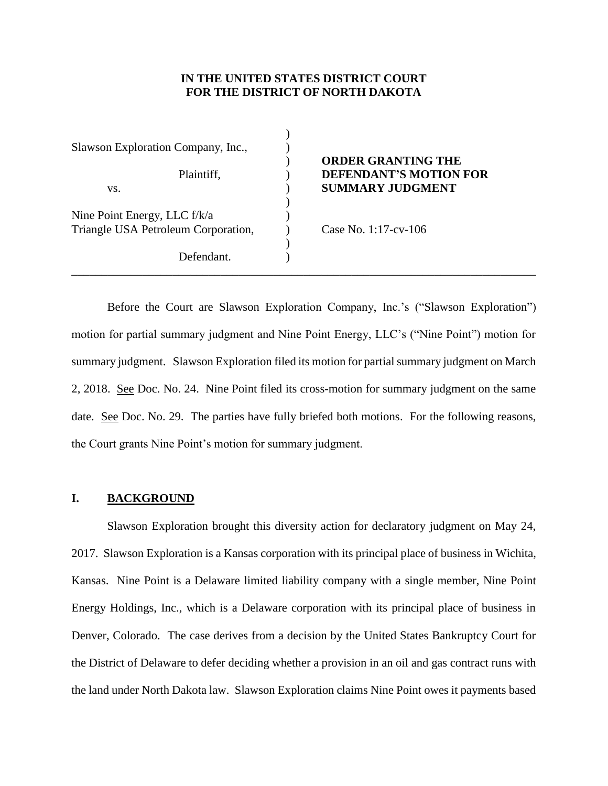## **IN THE UNITED STATES DISTRICT COURT FOR THE DISTRICT OF NORTH DAKOTA**

)

)

)

\_\_\_\_\_\_\_\_\_\_\_\_\_\_\_\_\_\_\_\_\_\_\_\_\_\_\_\_\_\_\_\_\_\_\_\_\_\_\_\_\_\_\_\_\_\_\_\_\_\_\_\_\_\_\_\_\_\_\_\_\_\_\_\_\_\_\_\_\_\_\_\_\_\_\_\_\_\_

Slawson Exploration Company, Inc.,  $\qquad \qquad$ ) vs. **SUMMARY JUDGMENT** Nine Point Energy, LLC f/k/a  $(1)$ Triangle USA Petroleum Corporation, Case No. 1:17-cv-106 Defendant.

# ) **ORDER GRANTING THE** Plaintiff,  $DEFENDANT'S MOTION FOR$

Before the Court are Slawson Exploration Company, Inc.'s ("Slawson Exploration") motion for partial summary judgment and Nine Point Energy, LLC's ("Nine Point") motion for summary judgment. Slawson Exploration filed its motion for partial summary judgment on March 2, 2018. See Doc. No. 24. Nine Point filed its cross-motion for summary judgment on the same date. See Doc. No. 29. The parties have fully briefed both motions. For the following reasons, the Court grants Nine Point's motion for summary judgment.

## **I. BACKGROUND**

Slawson Exploration brought this diversity action for declaratory judgment on May 24, 2017. Slawson Exploration is a Kansas corporation with its principal place of business in Wichita, Kansas. Nine Point is a Delaware limited liability company with a single member, Nine Point Energy Holdings, Inc., which is a Delaware corporation with its principal place of business in Denver, Colorado. The case derives from a decision by the United States Bankruptcy Court for the District of Delaware to defer deciding whether a provision in an oil and gas contract runs with the land under North Dakota law. Slawson Exploration claims Nine Point owes it payments based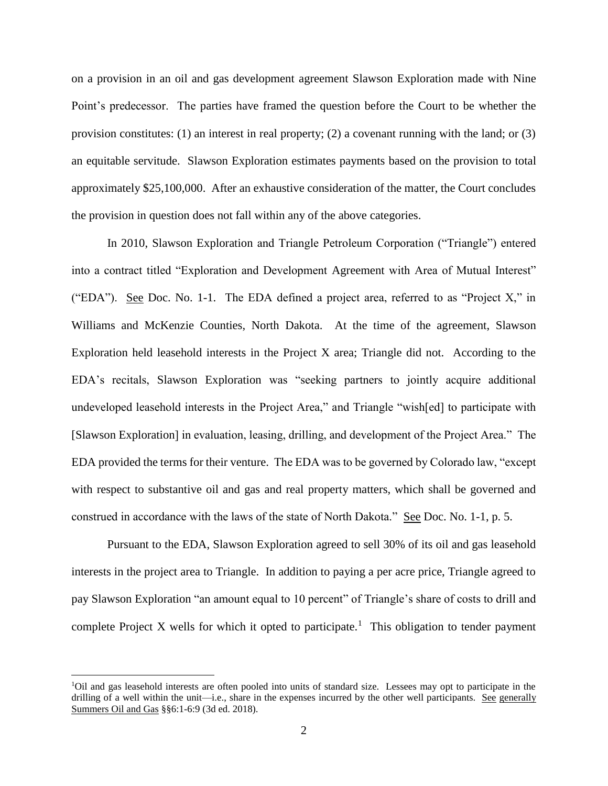on a provision in an oil and gas development agreement Slawson Exploration made with Nine Point's predecessor. The parties have framed the question before the Court to be whether the provision constitutes: (1) an interest in real property; (2) a covenant running with the land; or (3) an equitable servitude. Slawson Exploration estimates payments based on the provision to total approximately \$25,100,000. After an exhaustive consideration of the matter, the Court concludes the provision in question does not fall within any of the above categories.

In 2010, Slawson Exploration and Triangle Petroleum Corporation ("Triangle") entered into a contract titled "Exploration and Development Agreement with Area of Mutual Interest" ("EDA"). See Doc. No. 1-1. The EDA defined a project area, referred to as "Project X," in Williams and McKenzie Counties, North Dakota. At the time of the agreement, Slawson Exploration held leasehold interests in the Project X area; Triangle did not. According to the EDA's recitals, Slawson Exploration was "seeking partners to jointly acquire additional undeveloped leasehold interests in the Project Area," and Triangle "wish[ed] to participate with [Slawson Exploration] in evaluation, leasing, drilling, and development of the Project Area." The EDA provided the terms for their venture. The EDA was to be governed by Colorado law, "except with respect to substantive oil and gas and real property matters, which shall be governed and construed in accordance with the laws of the state of North Dakota." See Doc. No. 1-1, p. 5.

Pursuant to the EDA, Slawson Exploration agreed to sell 30% of its oil and gas leasehold interests in the project area to Triangle. In addition to paying a per acre price, Triangle agreed to pay Slawson Exploration "an amount equal to 10 percent" of Triangle's share of costs to drill and complete Project X wells for which it opted to participate.<sup>1</sup> This obligation to tender payment

 $\overline{\phantom{a}}$ 

<sup>1</sup>Oil and gas leasehold interests are often pooled into units of standard size. Lessees may opt to participate in the drilling of a well within the unit—i.e., share in the expenses incurred by the other well participants. See generally Summers Oil and Gas §§6:1-6:9 (3d ed. 2018).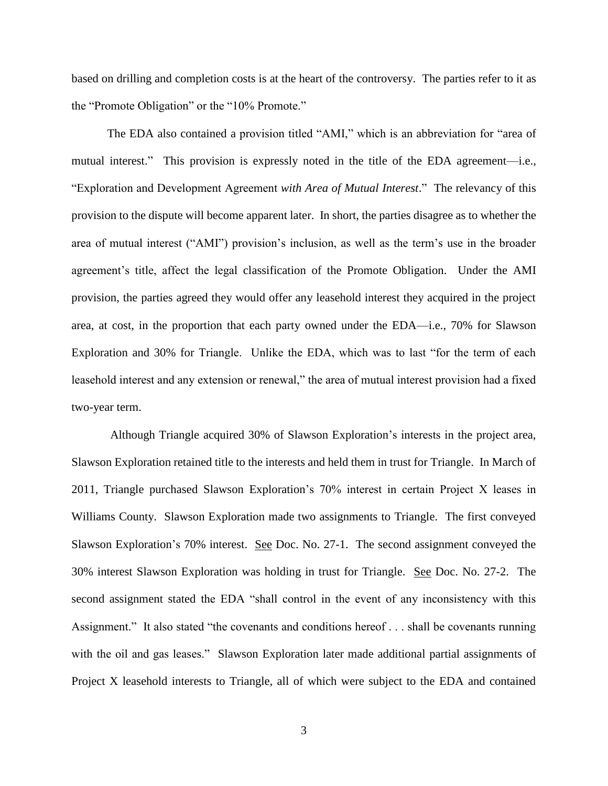based on drilling and completion costs is at the heart of the controversy. The parties refer to it as the "Promote Obligation" or the "10% Promote."

The EDA also contained a provision titled "AMI," which is an abbreviation for "area of mutual interest." This provision is expressly noted in the title of the EDA agreement—i.e., "Exploration and Development Agreement *with Area of Mutual Interest*." The relevancy of this provision to the dispute will become apparent later. In short, the parties disagree as to whether the area of mutual interest ("AMI") provision's inclusion, as well as the term's use in the broader agreement's title, affect the legal classification of the Promote Obligation. Under the AMI provision, the parties agreed they would offer any leasehold interest they acquired in the project area, at cost, in the proportion that each party owned under the EDA—i.e., 70% for Slawson Exploration and 30% for Triangle. Unlike the EDA, which was to last "for the term of each leasehold interest and any extension or renewal," the area of mutual interest provision had a fixed two-year term.

Although Triangle acquired 30% of Slawson Exploration's interests in the project area, Slawson Exploration retained title to the interests and held them in trust for Triangle. In March of 2011, Triangle purchased Slawson Exploration's 70% interest in certain Project X leases in Williams County. Slawson Exploration made two assignments to Triangle. The first conveyed Slawson Exploration's 70% interest. See Doc. No. 27-1. The second assignment conveyed the 30% interest Slawson Exploration was holding in trust for Triangle. See Doc. No. 27-2. The second assignment stated the EDA "shall control in the event of any inconsistency with this Assignment." It also stated "the covenants and conditions hereof . . . shall be covenants running with the oil and gas leases." Slawson Exploration later made additional partial assignments of Project X leasehold interests to Triangle, all of which were subject to the EDA and contained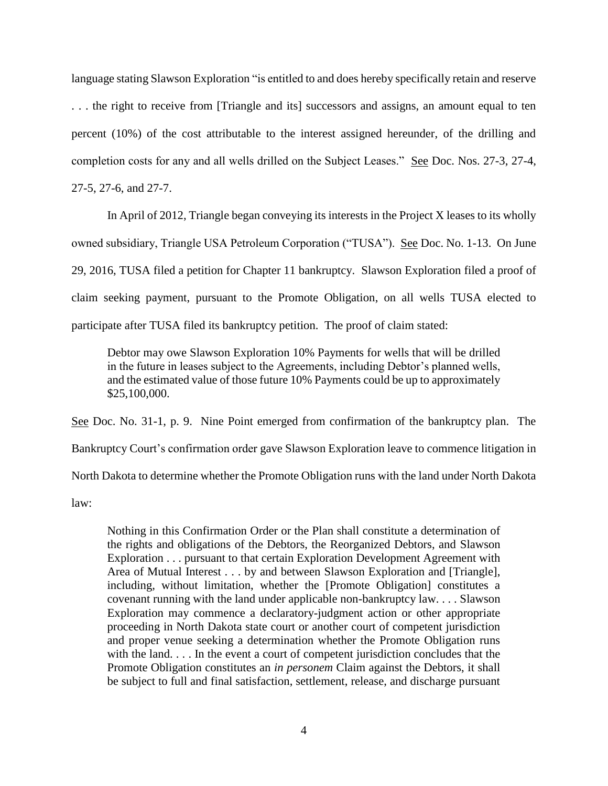language stating Slawson Exploration "is entitled to and does hereby specifically retain and reserve . . . the right to receive from [Triangle and its] successors and assigns, an amount equal to ten percent (10%) of the cost attributable to the interest assigned hereunder, of the drilling and completion costs for any and all wells drilled on the Subject Leases." See Doc. Nos. 27-3, 27-4, 27-5, 27-6, and 27-7.

In April of 2012, Triangle began conveying its interests in the Project X leases to its wholly owned subsidiary, Triangle USA Petroleum Corporation ("TUSA"). See Doc. No. 1-13. On June 29, 2016, TUSA filed a petition for Chapter 11 bankruptcy. Slawson Exploration filed a proof of claim seeking payment, pursuant to the Promote Obligation, on all wells TUSA elected to participate after TUSA filed its bankruptcy petition. The proof of claim stated:

Debtor may owe Slawson Exploration 10% Payments for wells that will be drilled in the future in leases subject to the Agreements, including Debtor's planned wells, and the estimated value of those future 10% Payments could be up to approximately \$25,100,000.

See Doc. No. 31-1, p. 9. Nine Point emerged from confirmation of the bankruptcy plan. The

Bankruptcy Court's confirmation order gave Slawson Exploration leave to commence litigation in

North Dakota to determine whether the Promote Obligation runs with the land under North Dakota

law:

Nothing in this Confirmation Order or the Plan shall constitute a determination of the rights and obligations of the Debtors, the Reorganized Debtors, and Slawson Exploration . . . pursuant to that certain Exploration Development Agreement with Area of Mutual Interest . . . by and between Slawson Exploration and [Triangle], including, without limitation, whether the [Promote Obligation] constitutes a covenant running with the land under applicable non-bankruptcy law. . . . Slawson Exploration may commence a declaratory-judgment action or other appropriate proceeding in North Dakota state court or another court of competent jurisdiction and proper venue seeking a determination whether the Promote Obligation runs with the land. . . . In the event a court of competent jurisdiction concludes that the Promote Obligation constitutes an *in personem* Claim against the Debtors, it shall be subject to full and final satisfaction, settlement, release, and discharge pursuant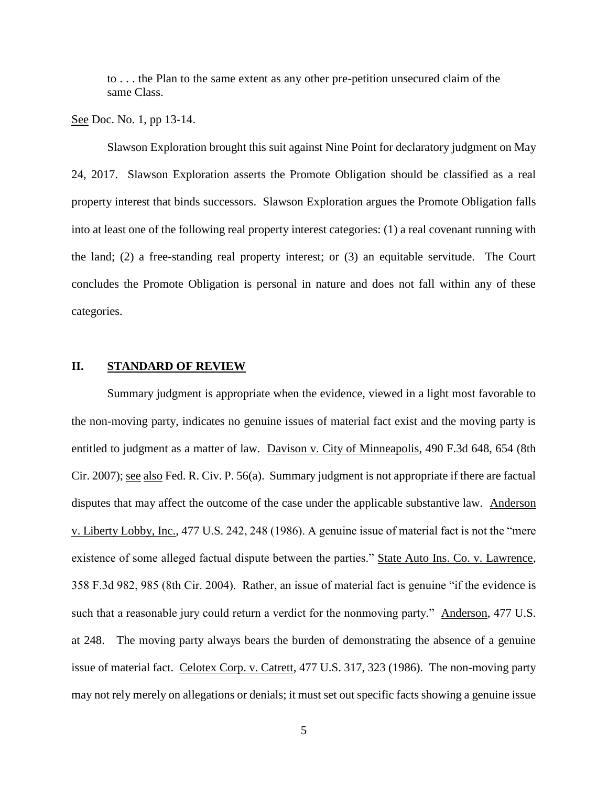to . . . the Plan to the same extent as any other pre-petition unsecured claim of the same Class.

See Doc. No. 1, pp 13-14.

Slawson Exploration brought this suit against Nine Point for declaratory judgment on May 24, 2017. Slawson Exploration asserts the Promote Obligation should be classified as a real property interest that binds successors. Slawson Exploration argues the Promote Obligation falls into at least one of the following real property interest categories: (1) a real covenant running with the land; (2) a free-standing real property interest; or (3) an equitable servitude. The Court concludes the Promote Obligation is personal in nature and does not fall within any of these categories.

## **II. STANDARD OF REVIEW**

Summary judgment is appropriate when the evidence, viewed in a light most favorable to the non-moving party, indicates no genuine issues of material fact exist and the moving party is entitled to judgment as a matter of law. Davison v. City of Minneapolis, 490 F.3d 648, 654 (8th Cir. 2007); see also Fed. R. Civ. P. 56(a). Summary judgment is not appropriate if there are factual disputes that may affect the outcome of the case under the applicable substantive law. Anderson v. Liberty Lobby, Inc., 477 U.S. 242, 248 (1986). A genuine issue of material fact is not the "mere existence of some alleged factual dispute between the parties." State Auto Ins. Co. v. Lawrence, 358 F.3d 982, 985 (8th Cir. 2004). Rather, an issue of material fact is genuine "if the evidence is such that a reasonable jury could return a verdict for the nonmoving party." Anderson, 477 U.S. at 248. The moving party always bears the burden of demonstrating the absence of a genuine issue of material fact. Celotex Corp. v. Catrett, 477 U.S. 317, 323 (1986). The non-moving party may not rely merely on allegations or denials; it must set out specific facts showing a genuine issue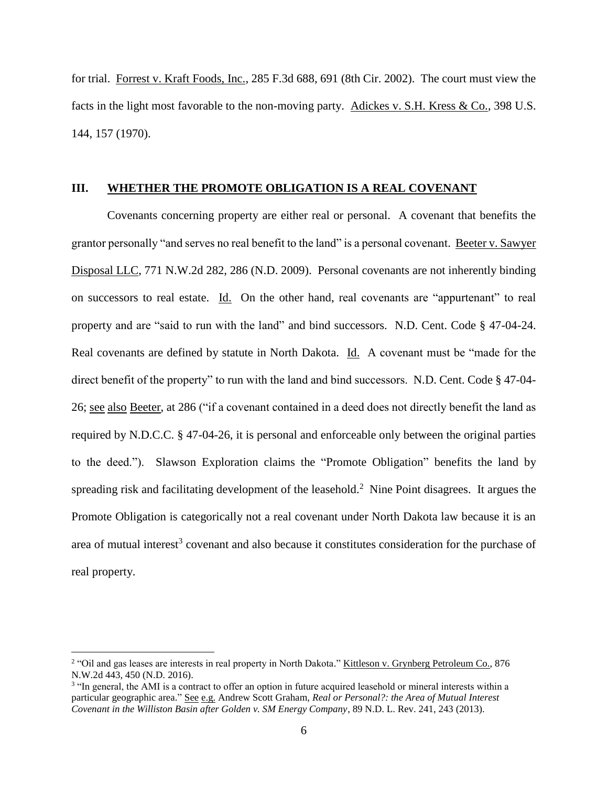for trial. Forrest v. Kraft Foods, Inc., 285 F.3d 688, 691 (8th Cir. 2002). The court must view the facts in the light most favorable to the non-moving party. Adickes v. S.H. Kress & Co., 398 U.S. 144, 157 (1970).

#### **III. WHETHER THE PROMOTE OBLIGATION IS A REAL COVENANT**

Covenants concerning property are either real or personal. A covenant that benefits the grantor personally "and serves no real benefit to the land" is a personal covenant. Beeter v. Sawyer Disposal LLC, 771 N.W.2d 282, 286 (N.D. 2009). Personal covenants are not inherently binding on successors to real estate. Id. On the other hand, real covenants are "appurtenant" to real property and are "said to run with the land" and bind successors. N.D. Cent. Code § 47-04-24. Real covenants are defined by statute in North Dakota. Id. A covenant must be "made for the direct benefit of the property" to run with the land and bind successors. N.D. Cent. Code § 47-04- 26; see also Beeter, at 286 ("if a covenant contained in a deed does not directly benefit the land as required by N.D.C.C. § 47-04-26, it is personal and enforceable only between the original parties to the deed."). Slawson Exploration claims the "Promote Obligation" benefits the land by spreading risk and facilitating development of the leasehold.<sup>2</sup> Nine Point disagrees. It argues the Promote Obligation is categorically not a real covenant under North Dakota law because it is an area of mutual interest<sup>3</sup> covenant and also because it constitutes consideration for the purchase of real property.

l

<sup>&</sup>lt;sup>2</sup> "Oil and gas leases are interests in real property in North Dakota." Kittleson v. Grynberg Petroleum Co., 876 N.W.2d 443, 450 (N.D. 2016).

<sup>&</sup>lt;sup>3</sup> "In general, the AMI is a contract to offer an option in future acquired leasehold or mineral interests within a particular geographic area." See e.g. Andrew Scott Graham, *Real or Personal?: the Area of Mutual Interest Covenant in the Williston Basin after Golden v. SM Energy Company*, 89 N.D. L. Rev. 241, 243 (2013).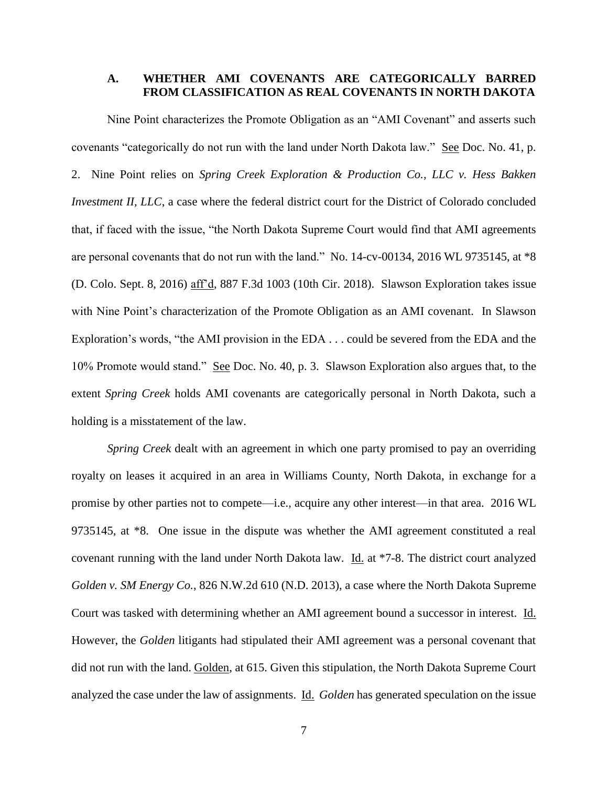## **A. WHETHER AMI COVENANTS ARE CATEGORICALLY BARRED FROM CLASSIFICATION AS REAL COVENANTS IN NORTH DAKOTA**

Nine Point characterizes the Promote Obligation as an "AMI Covenant" and asserts such covenants "categorically do not run with the land under North Dakota law." See Doc. No. 41, p. 2. Nine Point relies on *Spring Creek Exploration & Production Co., LLC v. Hess Bakken Investment II, LLC*, a case where the federal district court for the District of Colorado concluded that, if faced with the issue, "the North Dakota Supreme Court would find that AMI agreements are personal covenants that do not run with the land." No. 14-cv-00134, 2016 WL 9735145, at \*8 (D. Colo. Sept. 8, 2016) aff'd, 887 F.3d 1003 (10th Cir. 2018). Slawson Exploration takes issue with Nine Point's characterization of the Promote Obligation as an AMI covenant. In Slawson Exploration's words, "the AMI provision in the EDA . . . could be severed from the EDA and the 10% Promote would stand." See Doc. No. 40, p. 3. Slawson Exploration also argues that, to the extent *Spring Creek* holds AMI covenants are categorically personal in North Dakota, such a holding is a misstatement of the law.

*Spring Creek* dealt with an agreement in which one party promised to pay an overriding royalty on leases it acquired in an area in Williams County, North Dakota, in exchange for a promise by other parties not to compete—i.e., acquire any other interest—in that area. 2016 WL 9735145, at \*8. One issue in the dispute was whether the AMI agreement constituted a real covenant running with the land under North Dakota law. Id. at \*7-8. The district court analyzed *Golden v. SM Energy Co.*, 826 N.W.2d 610 (N.D. 2013), a case where the North Dakota Supreme Court was tasked with determining whether an AMI agreement bound a successor in interest. Id. However, the *Golden* litigants had stipulated their AMI agreement was a personal covenant that did not run with the land. Golden, at 615. Given this stipulation, the North Dakota Supreme Court analyzed the case under the law of assignments. Id. *Golden* has generated speculation on the issue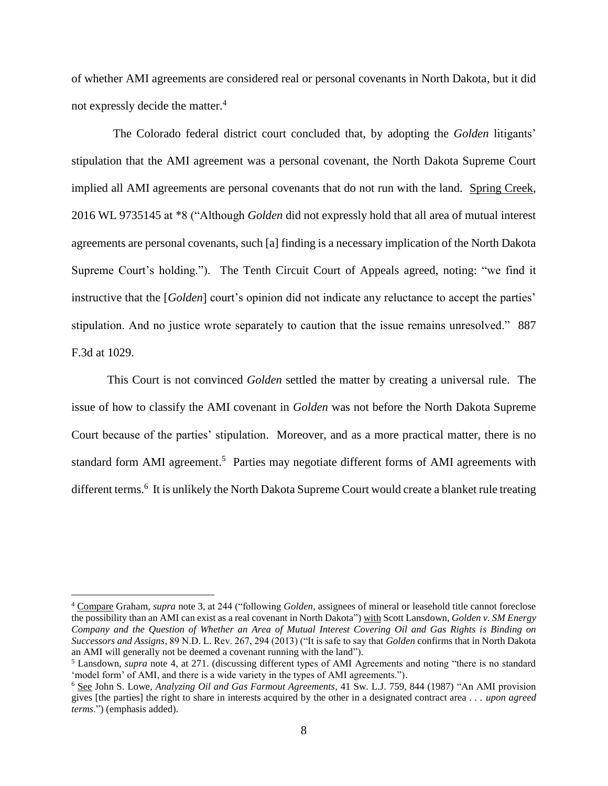of whether AMI agreements are considered real or personal covenants in North Dakota, but it did not expressly decide the matter. 4

 The Colorado federal district court concluded that, by adopting the *Golden* litigants' stipulation that the AMI agreement was a personal covenant, the North Dakota Supreme Court implied all AMI agreements are personal covenants that do not run with the land. Spring Creek, 2016 WL 9735145 at \*8 ("Although *Golden* did not expressly hold that all area of mutual interest agreements are personal covenants, such [a] finding is a necessary implication of the North Dakota Supreme Court's holding."). The Tenth Circuit Court of Appeals agreed, noting: "we find it instructive that the [*Golden*] court's opinion did not indicate any reluctance to accept the parties' stipulation. And no justice wrote separately to caution that the issue remains unresolved." 887 F.3d at 1029.

This Court is not convinced *Golden* settled the matter by creating a universal rule. The issue of how to classify the AMI covenant in *Golden* was not before the North Dakota Supreme Court because of the parties' stipulation. Moreover, and as a more practical matter, there is no standard form AMI agreement.<sup>5</sup> Parties may negotiate different forms of AMI agreements with different terms.<sup>6</sup> It is unlikely the North Dakota Supreme Court would create a blanket rule treating

 $\overline{\phantom{a}}$ 

<sup>4</sup> Compare Graham, *supra* note 3, at 244 ("following *Golden*, assignees of mineral or leasehold title cannot foreclose the possibility than an AMI can exist as a real covenant in North Dakota") with Scott Lansdown, *Golden v. SM Energy Company and the Question of Whether an Area of Mutual Interest Covering Oil and Gas Rights is Binding on Successors and Assigns*, 89 N.D. L. Rev. 267, 294 (2013) ("It is safe to say that *Golden* confirms that in North Dakota an AMI will generally not be deemed a covenant running with the land").

<sup>5</sup> Lansdown, *supra* note 4, at 271. (discussing different types of AMI Agreements and noting "there is no standard 'model form' of AMI, and there is a wide variety in the types of AMI agreements.").

<sup>6</sup> See John S. Lowe, *Analyzing Oil and Gas Farmout Agreements*, 41 Sw. L.J. 759, 844 (1987) "An AMI provision gives [the parties] the right to share in interests acquired by the other in a designated contract area . . . *upon agreed terms*.") (emphasis added).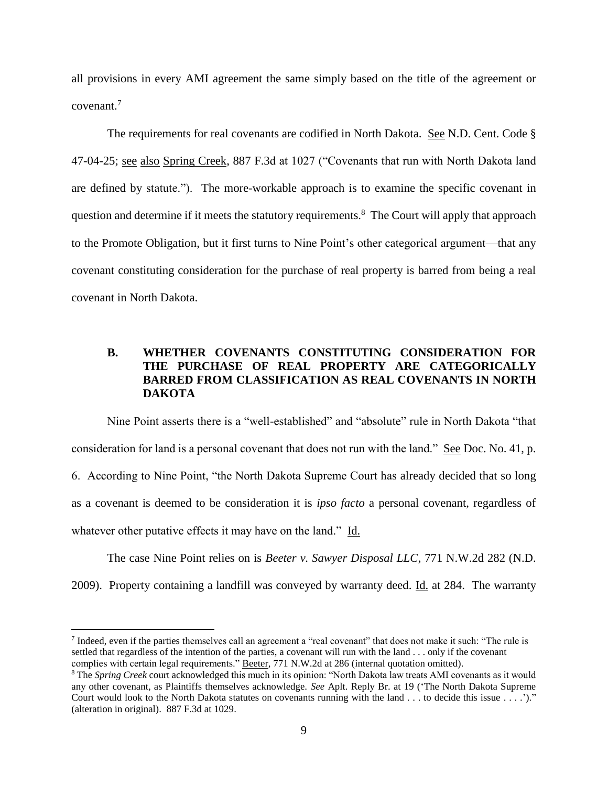all provisions in every AMI agreement the same simply based on the title of the agreement or covenant. 7

The requirements for real covenants are codified in North Dakota. See N.D. Cent. Code § 47-04-25; see also Spring Creek, 887 F.3d at 1027 ("Covenants that run with North Dakota land are defined by statute."). The more-workable approach is to examine the specific covenant in question and determine if it meets the statutory requirements.<sup>8</sup> The Court will apply that approach to the Promote Obligation, but it first turns to Nine Point's other categorical argument—that any covenant constituting consideration for the purchase of real property is barred from being a real covenant in North Dakota.

## **B. WHETHER COVENANTS CONSTITUTING CONSIDERATION FOR THE PURCHASE OF REAL PROPERTY ARE CATEGORICALLY BARRED FROM CLASSIFICATION AS REAL COVENANTS IN NORTH DAKOTA**

Nine Point asserts there is a "well-established" and "absolute" rule in North Dakota "that consideration for land is a personal covenant that does not run with the land." See Doc. No. 41, p. 6. According to Nine Point, "the North Dakota Supreme Court has already decided that so long as a covenant is deemed to be consideration it is *ipso facto* a personal covenant, regardless of whatever other putative effects it may have on the land." Id.

The case Nine Point relies on is *Beeter v. Sawyer Disposal LLC*, 771 N.W.2d 282 (N.D. 2009). Property containing a landfill was conveyed by warranty deed. Id. at 284. The warranty

 $\overline{\phantom{a}}$ 

Indeed, even if the parties themselves call an agreement a "real covenant" that does not make it such: "The rule is settled that regardless of the intention of the parties, a covenant will run with the land . . . only if the covenant complies with certain legal requirements." Beeter, 771 N.W.2d at 286 (internal quotation omitted).

<sup>8</sup> The *Spring Creek* court acknowledged this much in its opinion: "North Dakota law treats AMI covenants as it would any other covenant, as Plaintiffs themselves acknowledge. *See* Aplt. Reply Br. at 19 ('The North Dakota Supreme Court would look to the North Dakota statutes on covenants running with the land . . . to decide this issue . . . .')." (alteration in original). 887 F.3d at 1029.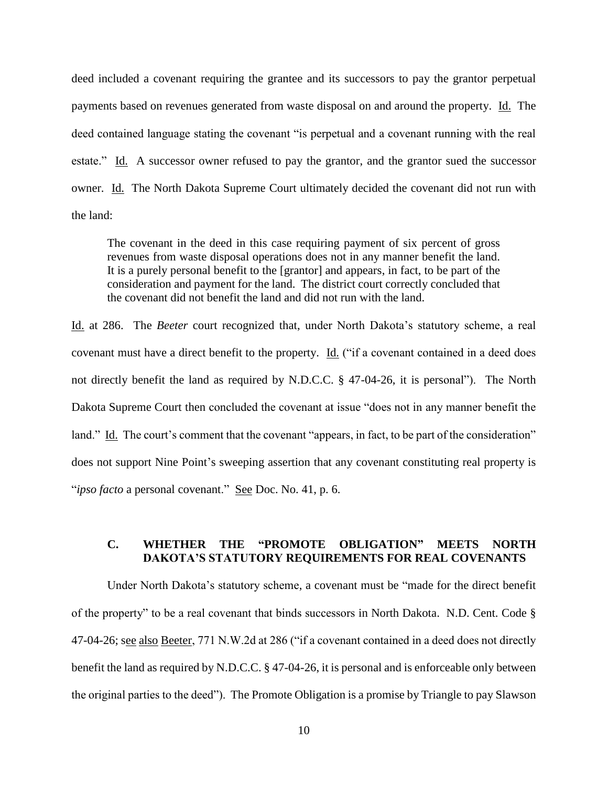deed included a covenant requiring the grantee and its successors to pay the grantor perpetual payments based on revenues generated from waste disposal on and around the property. Id. The deed contained language stating the covenant "is perpetual and a covenant running with the real estate." Id. A successor owner refused to pay the grantor, and the grantor sued the successor owner. Id. The North Dakota Supreme Court ultimately decided the covenant did not run with the land:

The covenant in the deed in this case requiring payment of six percent of gross revenues from waste disposal operations does not in any manner benefit the land. It is a purely personal benefit to the [grantor] and appears, in fact, to be part of the consideration and payment for the land. The district court correctly concluded that the covenant did not benefit the land and did not run with the land.

Id. at 286. The *Beeter* court recognized that, under North Dakota's statutory scheme, a real covenant must have a direct benefit to the property. Id. ("if a covenant contained in a deed does not directly benefit the land as required by N.D.C.C. § 47-04-26, it is personal"). The North Dakota Supreme Court then concluded the covenant at issue "does not in any manner benefit the land." Id. The court's comment that the covenant "appears, in fact, to be part of the consideration" does not support Nine Point's sweeping assertion that any covenant constituting real property is "*ipso facto* a personal covenant." See Doc. No. 41, p. 6.

## **C. WHETHER THE "PROMOTE OBLIGATION" MEETS NORTH DAKOTA'S STATUTORY REQUIREMENTS FOR REAL COVENANTS**

Under North Dakota's statutory scheme, a covenant must be "made for the direct benefit of the property" to be a real covenant that binds successors in North Dakota. N.D. Cent. Code § 47-04-26; see also Beeter, 771 N.W.2d at 286 ("if a covenant contained in a deed does not directly benefit the land as required by N.D.C.C. § 47-04-26, it is personal and is enforceable only between the original parties to the deed"). The Promote Obligation is a promise by Triangle to pay Slawson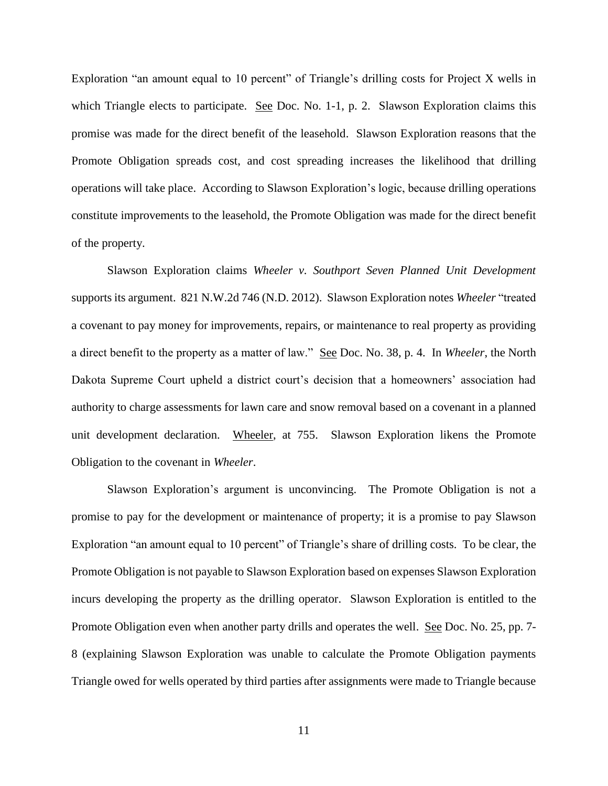Exploration "an amount equal to 10 percent" of Triangle's drilling costs for Project X wells in which Triangle elects to participate. See Doc. No. 1-1, p. 2. Slawson Exploration claims this promise was made for the direct benefit of the leasehold. Slawson Exploration reasons that the Promote Obligation spreads cost, and cost spreading increases the likelihood that drilling operations will take place. According to Slawson Exploration's logic, because drilling operations constitute improvements to the leasehold, the Promote Obligation was made for the direct benefit of the property.

Slawson Exploration claims *Wheeler v. Southport Seven Planned Unit Development* supports its argument. 821 N.W.2d 746 (N.D. 2012). Slawson Exploration notes *Wheeler* "treated a covenant to pay money for improvements, repairs, or maintenance to real property as providing a direct benefit to the property as a matter of law." See Doc. No. 38, p. 4. In *Wheeler*, the North Dakota Supreme Court upheld a district court's decision that a homeowners' association had authority to charge assessments for lawn care and snow removal based on a covenant in a planned unit development declaration. Wheeler, at 755. Slawson Exploration likens the Promote Obligation to the covenant in *Wheeler*.

Slawson Exploration's argument is unconvincing. The Promote Obligation is not a promise to pay for the development or maintenance of property; it is a promise to pay Slawson Exploration "an amount equal to 10 percent" of Triangle's share of drilling costs. To be clear, the Promote Obligation is not payable to Slawson Exploration based on expenses Slawson Exploration incurs developing the property as the drilling operator. Slawson Exploration is entitled to the Promote Obligation even when another party drills and operates the well. See Doc. No. 25, pp. 7-8 (explaining Slawson Exploration was unable to calculate the Promote Obligation payments Triangle owed for wells operated by third parties after assignments were made to Triangle because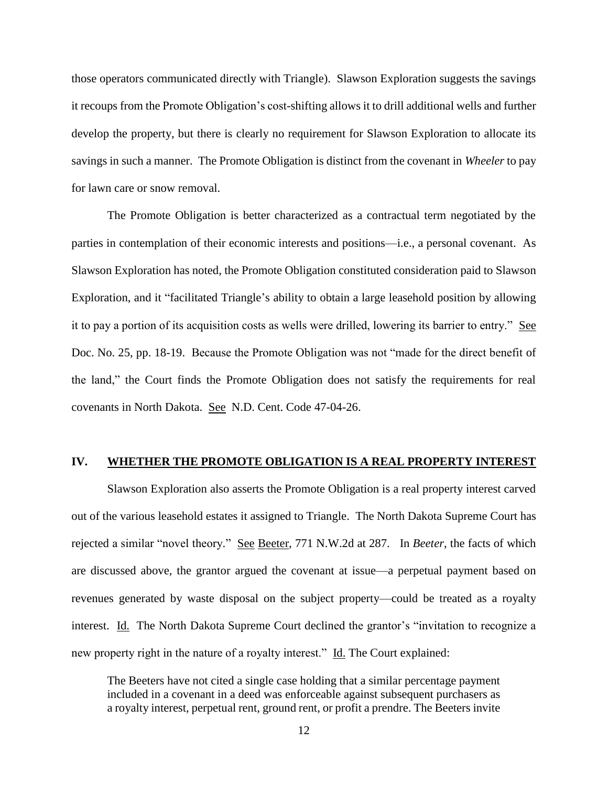those operators communicated directly with Triangle). Slawson Exploration suggests the savings it recoups from the Promote Obligation's cost-shifting allows it to drill additional wells and further develop the property, but there is clearly no requirement for Slawson Exploration to allocate its savings in such a manner. The Promote Obligation is distinct from the covenant in *Wheeler* to pay for lawn care or snow removal.

The Promote Obligation is better characterized as a contractual term negotiated by the parties in contemplation of their economic interests and positions—i.e., a personal covenant. As Slawson Exploration has noted, the Promote Obligation constituted consideration paid to Slawson Exploration, and it "facilitated Triangle's ability to obtain a large leasehold position by allowing it to pay a portion of its acquisition costs as wells were drilled, lowering its barrier to entry." See Doc. No. 25, pp. 18-19. Because the Promote Obligation was not "made for the direct benefit of the land," the Court finds the Promote Obligation does not satisfy the requirements for real covenants in North Dakota. See N.D. Cent. Code 47-04-26.

#### **IV. WHETHER THE PROMOTE OBLIGATION IS A REAL PROPERTY INTEREST**

Slawson Exploration also asserts the Promote Obligation is a real property interest carved out of the various leasehold estates it assigned to Triangle. The North Dakota Supreme Court has rejected a similar "novel theory." See Beeter, 771 N.W.2d at 287. In *Beeter*, the facts of which are discussed above, the grantor argued the covenant at issue—a perpetual payment based on revenues generated by waste disposal on the subject property—could be treated as a royalty interest. Id. The North Dakota Supreme Court declined the grantor's "invitation to recognize a new property right in the nature of a royalty interest." Id. The Court explained:

The Beeters have not cited a single case holding that a similar percentage payment included in a covenant in a deed was enforceable against subsequent purchasers as a royalty interest, perpetual rent, ground rent, or profit a prendre. The Beeters invite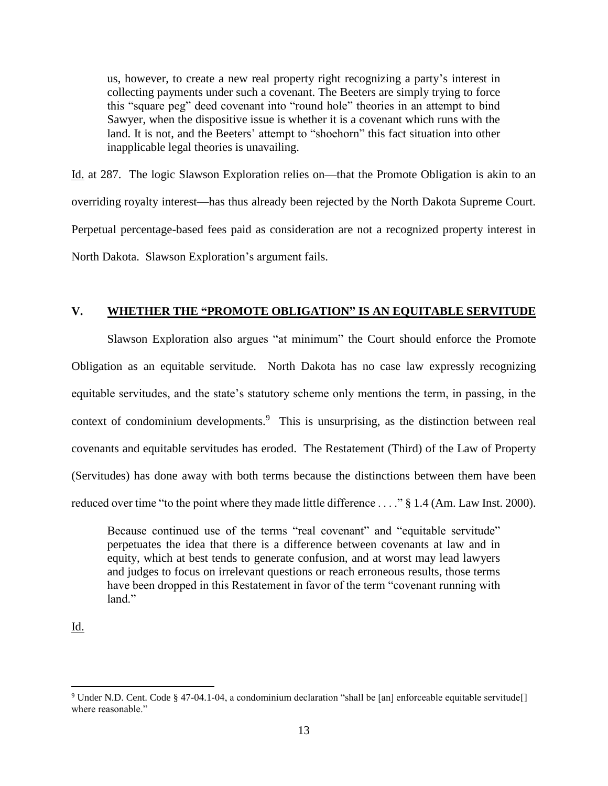us, however, to create a new real property right recognizing a party's interest in collecting payments under such a covenant. The Beeters are simply trying to force this "square peg" deed covenant into "round hole" theories in an attempt to bind Sawyer, when the dispositive issue is whether it is a covenant which runs with the land. It is not, and the Beeters' attempt to "shoehorn" this fact situation into other inapplicable legal theories is unavailing.

Id. at 287. The logic Slawson Exploration relies on—that the Promote Obligation is akin to an overriding royalty interest—has thus already been rejected by the North Dakota Supreme Court. Perpetual percentage-based fees paid as consideration are not a recognized property interest in North Dakota. Slawson Exploration's argument fails.

## **V. WHETHER THE "PROMOTE OBLIGATION" IS AN EQUITABLE SERVITUDE**

Slawson Exploration also argues "at minimum" the Court should enforce the Promote Obligation as an equitable servitude. North Dakota has no case law expressly recognizing equitable servitudes, and the state's statutory scheme only mentions the term, in passing, in the context of condominium developments.<sup>9</sup> This is unsurprising, as the distinction between real covenants and equitable servitudes has eroded. The Restatement (Third) of the Law of Property (Servitudes) has done away with both terms because the distinctions between them have been reduced over time "to the point where they made little difference . . . ." § 1.4 (Am. Law Inst. 2000).

Because continued use of the terms "real covenant" and "equitable servitude" perpetuates the idea that there is a difference between covenants at law and in equity, which at best tends to generate confusion, and at worst may lead lawyers and judges to focus on irrelevant questions or reach erroneous results, those terms have been dropped in this Restatement in favor of the term "covenant running with land."

Id.

 $\overline{a}$ 

<sup>9</sup> Under N.D. Cent. Code § 47-04.1-04, a condominium declaration "shall be [an] enforceable equitable servitude[] where reasonable."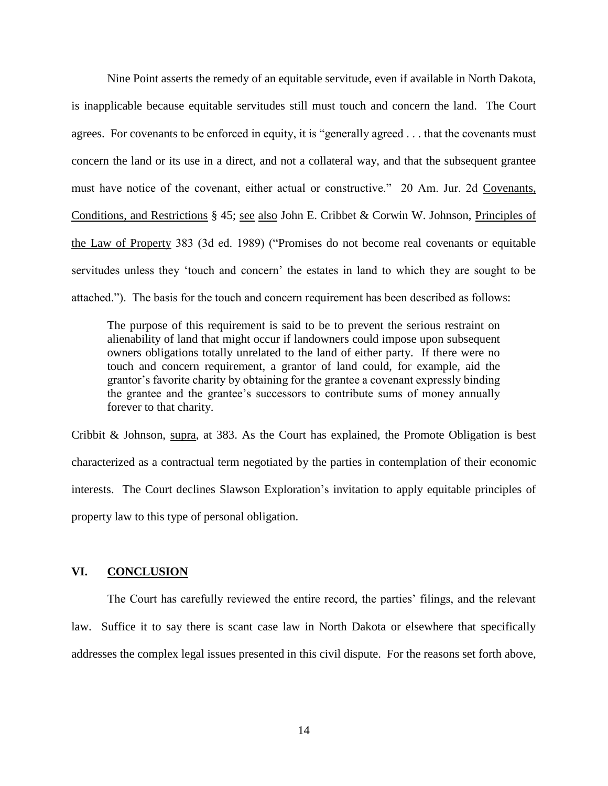Nine Point asserts the remedy of an equitable servitude, even if available in North Dakota, is inapplicable because equitable servitudes still must touch and concern the land. The Court agrees. For covenants to be enforced in equity, it is "generally agreed . . . that the covenants must concern the land or its use in a direct, and not a collateral way, and that the subsequent grantee must have notice of the covenant, either actual or constructive." 20 Am. Jur. 2d Covenants, Conditions, and Restrictions § 45; see also John E. Cribbet & Corwin W. Johnson, Principles of the Law of Property 383 (3d ed. 1989) ("Promises do not become real covenants or equitable servitudes unless they 'touch and concern' the estates in land to which they are sought to be attached."). The basis for the touch and concern requirement has been described as follows:

The purpose of this requirement is said to be to prevent the serious restraint on alienability of land that might occur if landowners could impose upon subsequent owners obligations totally unrelated to the land of either party. If there were no touch and concern requirement, a grantor of land could, for example, aid the grantor's favorite charity by obtaining for the grantee a covenant expressly binding the grantee and the grantee's successors to contribute sums of money annually forever to that charity.

Cribbit & Johnson, supra, at 383. As the Court has explained, the Promote Obligation is best characterized as a contractual term negotiated by the parties in contemplation of their economic interests. The Court declines Slawson Exploration's invitation to apply equitable principles of property law to this type of personal obligation.

## **VI. CONCLUSION**

The Court has carefully reviewed the entire record, the parties' filings, and the relevant law. Suffice it to say there is scant case law in North Dakota or elsewhere that specifically addresses the complex legal issues presented in this civil dispute. For the reasons set forth above,